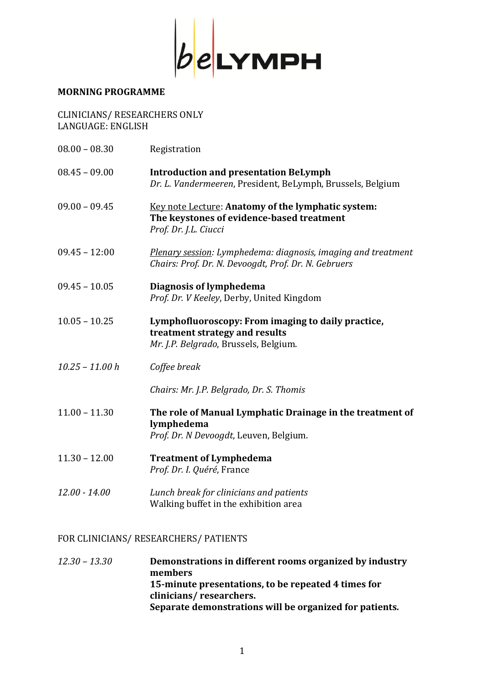

## **MORNING PROGRAMME**

| <b>CLINICIANS/ RESEARCHERS ONLY</b> |
|-------------------------------------|
| LANGUAGE: ENGLISH                   |

| $08.00 - 08.30$   | Registration                                                                                                                  |
|-------------------|-------------------------------------------------------------------------------------------------------------------------------|
| $08.45 - 09.00$   | <b>Introduction and presentation BeLymph</b><br>Dr. L. Vandermeeren, President, BeLymph, Brussels, Belgium                    |
| $09.00 - 09.45$   | Key note Lecture: Anatomy of the lymphatic system:<br>The keystones of evidence-based treatment<br>Prof. Dr. J.L. Ciucci      |
| $09.45 - 12:00$   | <b>Plenary session:</b> Lymphedema: diagnosis, imaging and treatment<br>Chairs: Prof. Dr. N. Devoogdt, Prof. Dr. N. Gebruers  |
| $09.45 - 10.05$   | Diagnosis of lymphedema<br>Prof. Dr. V Keeley, Derby, United Kingdom                                                          |
| $10.05 - 10.25$   | Lymphofluoroscopy: From imaging to daily practice,<br>treatment strategy and results<br>Mr. J.P. Belgrado, Brussels, Belgium. |
| $10.25 - 11.00 h$ | Coffee break                                                                                                                  |
|                   | Chairs: Mr. J.P. Belgrado, Dr. S. Thomis                                                                                      |
| $11.00 - 11.30$   | The role of Manual Lymphatic Drainage in the treatment of<br>lymphedema<br>Prof. Dr. N Devoogdt, Leuven, Belgium.             |
| $11.30 - 12.00$   | <b>Treatment of Lymphedema</b><br>Prof. Dr. I. Quéré, France                                                                  |
| $12.00 - 14.00$   | Lunch break for clinicians and patients<br>Walking buffet in the exhibition area                                              |

## FOR CLINICIANS/ RESEARCHERS/ PATIENTS

*12.30 – 13.30* **Demonstrations in different rooms organized by industry members 15-minute presentations, to be repeated 4 times for clinicians/ researchers. Separate demonstrations will be organized for patients***.*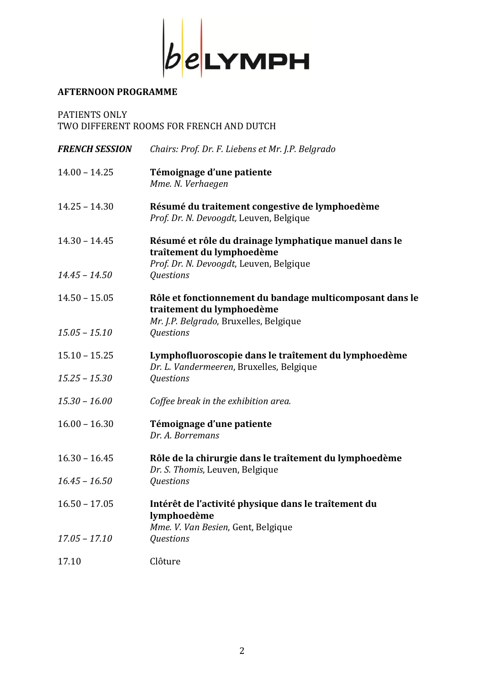

## **AFTERNOON PROGRAMME**

PATIENTS ONLY TWO DIFFERENT ROOMS FOR FRENCH AND DUTCH

| <b>FRENCH SESSION</b> | Chairs: Prof. Dr. F. Liebens et Mr. J.P. Belgrado                                                                               |
|-----------------------|---------------------------------------------------------------------------------------------------------------------------------|
| $14.00 - 14.25$       | Témoignage d'une patiente<br>Mme. N. Verhaegen                                                                                  |
| $14.25 - 14.30$       | Résumé du traitement congestive de lymphoedème<br>Prof. Dr. N. Devoogdt, Leuven, Belgique                                       |
| $14.30 - 14.45$       | Résumé et rôle du drainage lymphatique manuel dans le<br>traîtement du lymphoedème<br>Prof. Dr. N. Devoogdt, Leuven, Belgique   |
| $14.45 - 14.50$       | Questions                                                                                                                       |
| $14.50 - 15.05$       | Rôle et fonctionnement du bandage multicomposant dans le<br>traitement du lymphoedème<br>Mr. J.P. Belgrado, Bruxelles, Belgique |
| $15.05 - 15.10$       | Questions                                                                                                                       |
| $15.10 - 15.25$       | Lymphofluoroscopie dans le traîtement du lymphoedème<br>Dr. L. Vandermeeren, Bruxelles, Belgique                                |
| $15.25 - 15.30$       | Questions                                                                                                                       |
| $15.30 - 16.00$       | Coffee break in the exhibition area.                                                                                            |
| $16.00 - 16.30$       | Témoignage d'une patiente<br>Dr. A. Borremans                                                                                   |
| $16.30 - 16.45$       | Rôle de la chirurgie dans le traîtement du lymphoedème<br>Dr. S. Thomis, Leuven, Belgique                                       |
| $16.45 - 16.50$       | <b>Questions</b>                                                                                                                |
| $16.50 - 17.05$       | Intérêt de l'activité physique dans le traîtement du<br>lymphoedème<br>Mme. V. Van Besien, Gent, Belgique                       |
| $17.05 - 17.10$       | Questions                                                                                                                       |
| 17.10                 | Clôture                                                                                                                         |